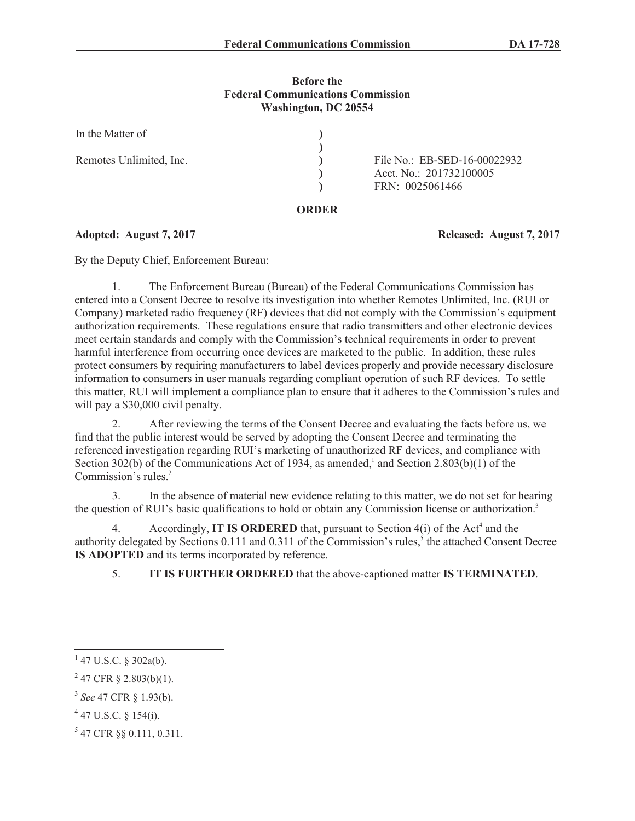# **Before the Federal Communications Commission Washington, DC 20554**

| In the Matter of        |                                                                            |
|-------------------------|----------------------------------------------------------------------------|
| Remotes Unlimited, Inc. | File No.: EB-SED-16-00022932<br>Acct. No.: 201732100005<br>FRN: 0025061466 |

### **ORDER**

**Adopted: August 7, 2017 Released: August 7, 2017**

By the Deputy Chief, Enforcement Bureau:

1. The Enforcement Bureau (Bureau) of the Federal Communications Commission has entered into a Consent Decree to resolve its investigation into whether Remotes Unlimited, Inc. (RUI or Company) marketed radio frequency (RF) devices that did not comply with the Commission's equipment authorization requirements. These regulations ensure that radio transmitters and other electronic devices meet certain standards and comply with the Commission's technical requirements in order to prevent harmful interference from occurring once devices are marketed to the public. In addition, these rules protect consumers by requiring manufacturers to label devices properly and provide necessary disclosure information to consumers in user manuals regarding compliant operation of such RF devices. To settle this matter, RUI will implement a compliance plan to ensure that it adheres to the Commission's rules and will pay a \$30,000 civil penalty.

2. After reviewing the terms of the Consent Decree and evaluating the facts before us, we find that the public interest would be served by adopting the Consent Decree and terminating the referenced investigation regarding RUI's marketing of unauthorized RF devices, and compliance with Section 302(b) of the Communications Act of 1934, as amended,<sup>1</sup> and Section 2.803(b)(1) of the Commission's rules. $2$ 

3. In the absence of material new evidence relating to this matter, we do not set for hearing the question of RUI's basic qualifications to hold or obtain any Commission license or authorization.<sup>3</sup>

4. Accordingly, **IT IS ORDERED** that, pursuant to Section 4(i) of the Act<sup>4</sup> and the authority delegated by Sections 0.111 and 0.311 of the Commission's rules,<sup>5</sup> the attached Consent Decree **IS ADOPTED** and its terms incorporated by reference.

5. **IT IS FURTHER ORDERED** that the above-captioned matter **IS TERMINATED**.

 $1$  47 U.S.C. § 302a(b).

 $2^{2}$  47 CFR § 2.803(b)(1).

<sup>3</sup> *See* 47 CFR § 1.93(b).

 $4$  47 U.S.C. § 154(i).

<sup>5</sup> 47 CFR §§ 0.111, 0.311.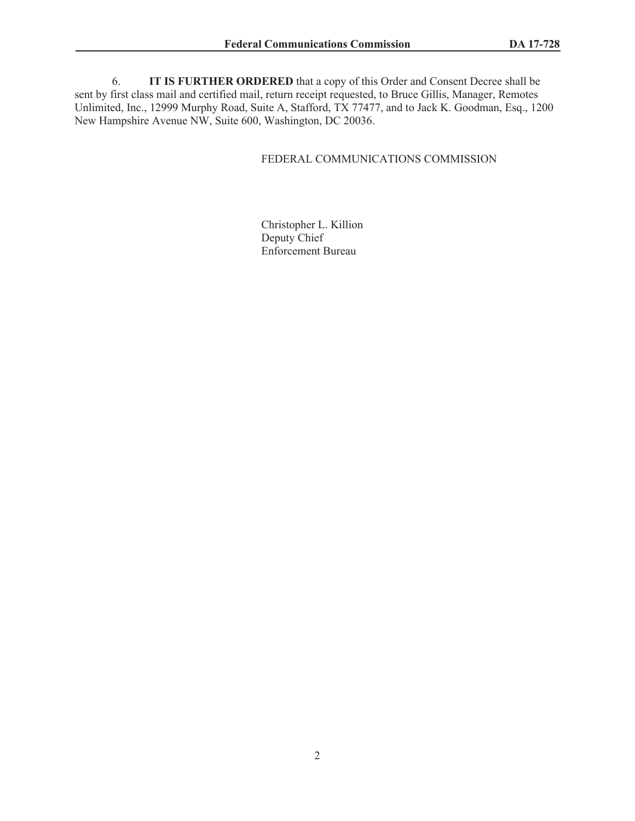6. **IT IS FURTHER ORDERED** that a copy of this Order and Consent Decree shall be sent by first class mail and certified mail, return receipt requested, to Bruce Gillis, Manager, Remotes Unlimited, Inc., 12999 Murphy Road, Suite A, Stafford, TX 77477, and to Jack K. Goodman, Esq., 1200 New Hampshire Avenue NW, Suite 600, Washington, DC 20036.

## FEDERAL COMMUNICATIONS COMMISSION

Christopher L. Killion Deputy Chief Enforcement Bureau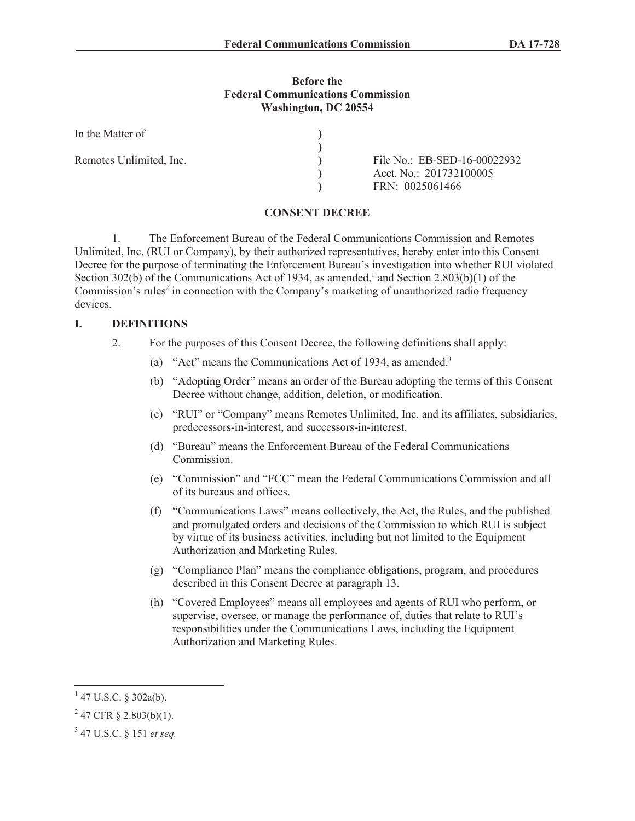### **Before the Federal Communications Commission Washington, DC 20554**

| In the Matter of        |                              |
|-------------------------|------------------------------|
|                         |                              |
| Remotes Unlimited, Inc. | File No.: EB-SED-16-00022932 |
|                         | Acct. No.: 201732100005      |
|                         | FRN: 0025061466              |

#### **CONSENT DECREE**

1. The Enforcement Bureau of the Federal Communications Commission and Remotes Unlimited, Inc. (RUI or Company), by their authorized representatives, hereby enter into this Consent Decree for the purpose of terminating the Enforcement Bureau's investigation into whether RUI violated Section 302(b) of the Communications Act of 1934, as amended,<sup>1</sup> and Section 2.803(b)(1) of the Commission's rules<sup>2</sup> in connection with the Company's marketing of unauthorized radio frequency devices.

# **I. DEFINITIONS**

- 2. For the purposes of this Consent Decree, the following definitions shall apply:
	- (a) "Act" means the Communications Act of 1934, as amended.<sup>3</sup>
	- (b) "Adopting Order" means an order of the Bureau adopting the terms of this Consent Decree without change, addition, deletion, or modification.
	- (c) "RUI" or "Company" means Remotes Unlimited, Inc. and its affiliates, subsidiaries, predecessors-in-interest, and successors-in-interest.
	- (d) "Bureau" means the Enforcement Bureau of the Federal Communications Commission.
	- (e) "Commission" and "FCC" mean the Federal Communications Commission and all of its bureaus and offices.
	- (f) "Communications Laws" means collectively, the Act, the Rules, and the published and promulgated orders and decisions of the Commission to which RUI is subject by virtue of its business activities, including but not limited to the Equipment Authorization and Marketing Rules.
	- (g) "Compliance Plan" means the compliance obligations, program, and procedures described in this Consent Decree at paragraph 13.
	- (h) "Covered Employees" means all employees and agents of RUI who perform, or supervise, oversee, or manage the performance of, duties that relate to RUI's responsibilities under the Communications Laws, including the Equipment Authorization and Marketing Rules.

 $1$  47 U.S.C. § 302a(b).

 $2\,47$  CFR § 2.803(b)(1).

<sup>3</sup> 47 U.S.C. § 151 *et seq.*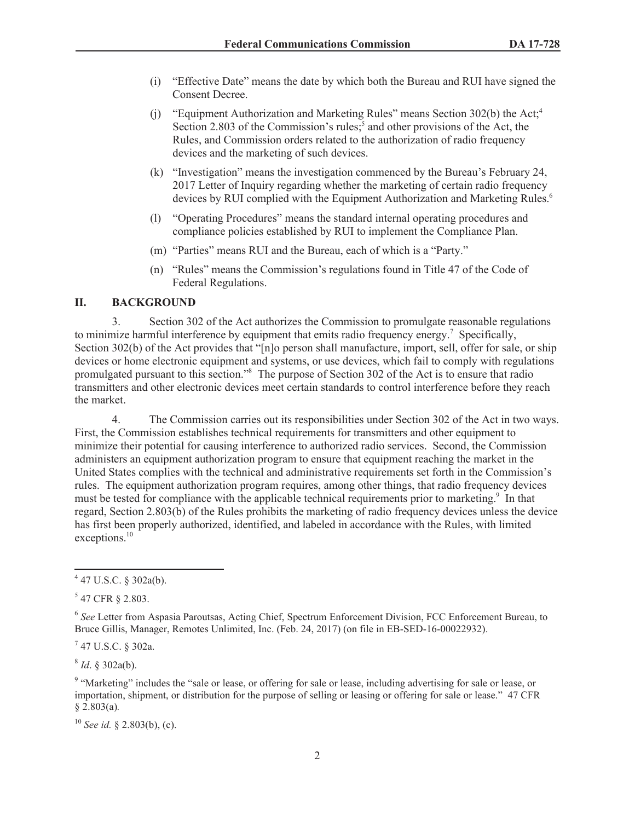- (i) "Effective Date" means the date by which both the Bureau and RUI have signed the Consent Decree.
- (j) "Equipment Authorization and Marketing Rules" means Section 302(b) the Act;<sup>4</sup> Section 2.803 of the Commission's rules;<sup>5</sup> and other provisions of the Act, the Rules, and Commission orders related to the authorization of radio frequency devices and the marketing of such devices.
- (k) "Investigation" means the investigation commenced by the Bureau's February 24, 2017 Letter of Inquiry regarding whether the marketing of certain radio frequency devices by RUI complied with the Equipment Authorization and Marketing Rules.<sup>6</sup>
- (l) "Operating Procedures" means the standard internal operating procedures and compliance policies established by RUI to implement the Compliance Plan.
- (m) "Parties" means RUI and the Bureau, each of which is a "Party."
- (n) "Rules" means the Commission's regulations found in Title 47 of the Code of Federal Regulations.

# **II. BACKGROUND**

3. Section 302 of the Act authorizes the Commission to promulgate reasonable regulations to minimize harmful interference by equipment that emits radio frequency energy.<sup>7</sup> Specifically, Section 302(b) of the Act provides that "[n]o person shall manufacture, import, sell, offer for sale, or ship devices or home electronic equipment and systems, or use devices, which fail to comply with regulations promulgated pursuant to this section."<sup>8</sup> The purpose of Section 302 of the Act is to ensure that radio transmitters and other electronic devices meet certain standards to control interference before they reach the market.

4. The Commission carries out its responsibilities under Section 302 of the Act in two ways. First, the Commission establishes technical requirements for transmitters and other equipment to minimize their potential for causing interference to authorized radio services. Second, the Commission administers an equipment authorization program to ensure that equipment reaching the market in the United States complies with the technical and administrative requirements set forth in the Commission's rules. The equipment authorization program requires, among other things, that radio frequency devices must be tested for compliance with the applicable technical requirements prior to marketing.<sup>9</sup> In that regard, Section 2.803(b) of the Rules prohibits the marketing of radio frequency devices unless the device has first been properly authorized, identified, and labeled in accordance with the Rules, with limited exceptions.<sup>10</sup>

 $^{7}$  47 U.S.C. § 302a.

8 *Id*. § 302a(b).

<sup>10</sup> *See id.* § 2.803(b), (c).

 $4$  47 U.S.C. § 302a(b).

 $547$  CFR  $\S$  2.803.

<sup>&</sup>lt;sup>6</sup> See Letter from Aspasia Paroutsas, Acting Chief, Spectrum Enforcement Division, FCC Enforcement Bureau, to Bruce Gillis, Manager, Remotes Unlimited, Inc. (Feb. 24, 2017) (on file in EB-SED-16-00022932).

<sup>&</sup>lt;sup>9</sup> "Marketing" includes the "sale or lease, or offering for sale or lease, including advertising for sale or lease, or importation, shipment, or distribution for the purpose of selling or leasing or offering for sale or lease." 47 CFR § 2.803(a)*.*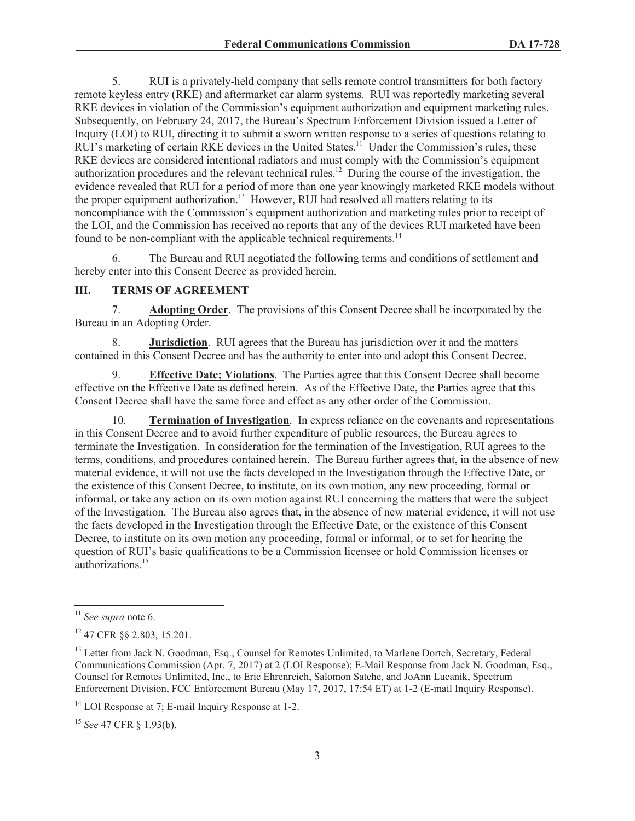5. RUI is a privately-held company that sells remote control transmitters for both factory remote keyless entry (RKE) and aftermarket car alarm systems. RUI was reportedly marketing several RKE devices in violation of the Commission's equipment authorization and equipment marketing rules. Subsequently, on February 24, 2017, the Bureau's Spectrum Enforcement Division issued a Letter of Inquiry (LOI) to RUI, directing it to submit a sworn written response to a series of questions relating to RUI's marketing of certain RKE devices in the United States.<sup>11</sup> Under the Commission's rules, these RKE devices are considered intentional radiators and must comply with the Commission's equipment authorization procedures and the relevant technical rules.<sup>12</sup> During the course of the investigation, the evidence revealed that RUI for a period of more than one year knowingly marketed RKE models without the proper equipment authorization.<sup>13</sup> However, RUI had resolved all matters relating to its noncompliance with the Commission's equipment authorization and marketing rules prior to receipt of the LOI, and the Commission has received no reports that any of the devices RUI marketed have been found to be non-compliant with the applicable technical requirements.<sup>14</sup>

6. The Bureau and RUI negotiated the following terms and conditions of settlement and hereby enter into this Consent Decree as provided herein.

# **III. TERMS OF AGREEMENT**

7. **Adopting Order**. The provisions of this Consent Decree shall be incorporated by the Bureau in an Adopting Order.

8. **Jurisdiction**. RUI agrees that the Bureau has jurisdiction over it and the matters contained in this Consent Decree and has the authority to enter into and adopt this Consent Decree.

9. **Effective Date; Violations**. The Parties agree that this Consent Decree shall become effective on the Effective Date as defined herein. As of the Effective Date, the Parties agree that this Consent Decree shall have the same force and effect as any other order of the Commission.

10. **Termination of Investigation**. In express reliance on the covenants and representations in this Consent Decree and to avoid further expenditure of public resources, the Bureau agrees to terminate the Investigation. In consideration for the termination of the Investigation, RUI agrees to the terms, conditions, and procedures contained herein. The Bureau further agrees that, in the absence of new material evidence, it will not use the facts developed in the Investigation through the Effective Date, or the existence of this Consent Decree, to institute, on its own motion, any new proceeding, formal or informal, or take any action on its own motion against RUI concerning the matters that were the subject of the Investigation. The Bureau also agrees that, in the absence of new material evidence, it will not use the facts developed in the Investigation through the Effective Date, or the existence of this Consent Decree, to institute on its own motion any proceeding, formal or informal, or to set for hearing the question of RUI's basic qualifications to be a Commission licensee or hold Commission licenses or authorizations.<sup>15</sup>

<sup>11</sup> *See supra* note 6.

<sup>12</sup> 47 CFR §§ 2.803, 15.201.

<sup>&</sup>lt;sup>13</sup> Letter from Jack N. Goodman, Esq., Counsel for Remotes Unlimited, to Marlene Dortch, Secretary, Federal Communications Commission (Apr. 7, 2017) at 2 (LOI Response); E-Mail Response from Jack N. Goodman, Esq., Counsel for Remotes Unlimited, Inc., to Eric Ehrenreich, Salomon Satche, and JoAnn Lucanik, Spectrum Enforcement Division, FCC Enforcement Bureau (May 17, 2017, 17:54 ET) at 1-2 (E-mail Inquiry Response).

 $14$  LOI Response at 7; E-mail Inquiry Response at 1-2.

<sup>15</sup> *See* 47 CFR § 1.93(b).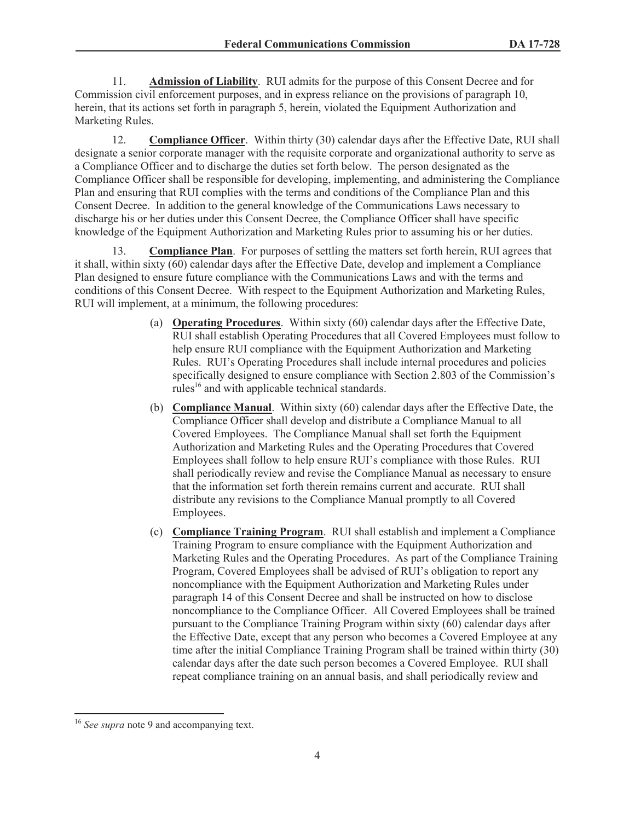11. **Admission of Liability**. RUI admits for the purpose of this Consent Decree and for Commission civil enforcement purposes, and in express reliance on the provisions of paragraph 10, herein, that its actions set forth in paragraph 5, herein, violated the Equipment Authorization and Marketing Rules.

12. **Compliance Officer**. Within thirty (30) calendar days after the Effective Date, RUI shall designate a senior corporate manager with the requisite corporate and organizational authority to serve as a Compliance Officer and to discharge the duties set forth below. The person designated as the Compliance Officer shall be responsible for developing, implementing, and administering the Compliance Plan and ensuring that RUI complies with the terms and conditions of the Compliance Plan and this Consent Decree. In addition to the general knowledge of the Communications Laws necessary to discharge his or her duties under this Consent Decree, the Compliance Officer shall have specific knowledge of the Equipment Authorization and Marketing Rules prior to assuming his or her duties.

13. **Compliance Plan**. For purposes of settling the matters set forth herein, RUI agrees that it shall, within sixty (60) calendar days after the Effective Date, develop and implement a Compliance Plan designed to ensure future compliance with the Communications Laws and with the terms and conditions of this Consent Decree. With respect to the Equipment Authorization and Marketing Rules, RUI will implement, at a minimum, the following procedures:

- (a) **Operating Procedures**. Within sixty (60) calendar days after the Effective Date, RUI shall establish Operating Procedures that all Covered Employees must follow to help ensure RUI compliance with the Equipment Authorization and Marketing Rules. RUI's Operating Procedures shall include internal procedures and policies specifically designed to ensure compliance with Section 2.803 of the Commission's rules<sup>16</sup> and with applicable technical standards.
- (b) **Compliance Manual**. Within sixty (60) calendar days after the Effective Date, the Compliance Officer shall develop and distribute a Compliance Manual to all Covered Employees. The Compliance Manual shall set forth the Equipment Authorization and Marketing Rules and the Operating Procedures that Covered Employees shall follow to help ensure RUI's compliance with those Rules. RUI shall periodically review and revise the Compliance Manual as necessary to ensure that the information set forth therein remains current and accurate. RUI shall distribute any revisions to the Compliance Manual promptly to all Covered Employees.
- (c) **Compliance Training Program**. RUI shall establish and implement a Compliance Training Program to ensure compliance with the Equipment Authorization and Marketing Rules and the Operating Procedures. As part of the Compliance Training Program, Covered Employees shall be advised of RUI's obligation to report any noncompliance with the Equipment Authorization and Marketing Rules under paragraph 14 of this Consent Decree and shall be instructed on how to disclose noncompliance to the Compliance Officer. All Covered Employees shall be trained pursuant to the Compliance Training Program within sixty (60) calendar days after the Effective Date, except that any person who becomes a Covered Employee at any time after the initial Compliance Training Program shall be trained within thirty (30) calendar days after the date such person becomes a Covered Employee. RUI shall repeat compliance training on an annual basis, and shall periodically review and

<sup>&</sup>lt;sup>16</sup> *See supra* note 9 and accompanying text.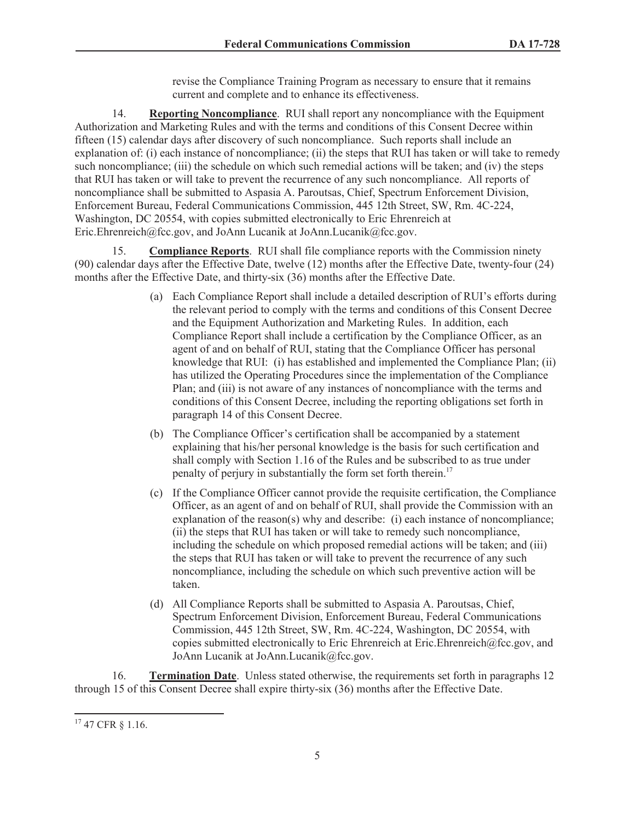revise the Compliance Training Program as necessary to ensure that it remains current and complete and to enhance its effectiveness.

14. **Reporting Noncompliance**. RUI shall report any noncompliance with the Equipment Authorization and Marketing Rules and with the terms and conditions of this Consent Decree within fifteen (15) calendar days after discovery of such noncompliance. Such reports shall include an explanation of: (i) each instance of noncompliance; (ii) the steps that RUI has taken or will take to remedy such noncompliance; (iii) the schedule on which such remedial actions will be taken; and (iv) the steps that RUI has taken or will take to prevent the recurrence of any such noncompliance. All reports of noncompliance shall be submitted to Aspasia A. Paroutsas, Chief, Spectrum Enforcement Division, Enforcement Bureau, Federal Communications Commission, 445 12th Street, SW, Rm. 4C-224, Washington, DC 20554, with copies submitted electronically to Eric Ehrenreich at Eric.Ehrenreich@fcc.gov, and JoAnn Lucanik at JoAnn.Lucanik@fcc.gov.

15. **Compliance Reports**. RUI shall file compliance reports with the Commission ninety (90) calendar days after the Effective Date, twelve (12) months after the Effective Date, twenty-four (24) months after the Effective Date, and thirty-six (36) months after the Effective Date.

- (a) Each Compliance Report shall include a detailed description of RUI's efforts during the relevant period to comply with the terms and conditions of this Consent Decree and the Equipment Authorization and Marketing Rules. In addition, each Compliance Report shall include a certification by the Compliance Officer, as an agent of and on behalf of RUI, stating that the Compliance Officer has personal knowledge that RUI: (i) has established and implemented the Compliance Plan; (ii) has utilized the Operating Procedures since the implementation of the Compliance Plan; and (iii) is not aware of any instances of noncompliance with the terms and conditions of this Consent Decree, including the reporting obligations set forth in paragraph 14 of this Consent Decree.
- (b) The Compliance Officer's certification shall be accompanied by a statement explaining that his/her personal knowledge is the basis for such certification and shall comply with Section 1.16 of the Rules and be subscribed to as true under penalty of perjury in substantially the form set forth therein.<sup>17</sup>
- (c) If the Compliance Officer cannot provide the requisite certification, the Compliance Officer, as an agent of and on behalf of RUI, shall provide the Commission with an explanation of the reason(s) why and describe: (i) each instance of noncompliance; (ii) the steps that RUI has taken or will take to remedy such noncompliance, including the schedule on which proposed remedial actions will be taken; and (iii) the steps that RUI has taken or will take to prevent the recurrence of any such noncompliance, including the schedule on which such preventive action will be taken.
- (d) All Compliance Reports shall be submitted to Aspasia A. Paroutsas, Chief, Spectrum Enforcement Division, Enforcement Bureau, Federal Communications Commission, 445 12th Street, SW, Rm. 4C-224, Washington, DC 20554, with copies submitted electronically to Eric Ehrenreich at Eric.Ehrenreich@fcc.gov, and JoAnn Lucanik at JoAnn.Lucanik@fcc.gov.

16. **Termination Date**. Unless stated otherwise, the requirements set forth in paragraphs 12 through 15 of this Consent Decree shall expire thirty-six (36) months after the Effective Date.

<sup>17</sup> 47 CFR § 1.16.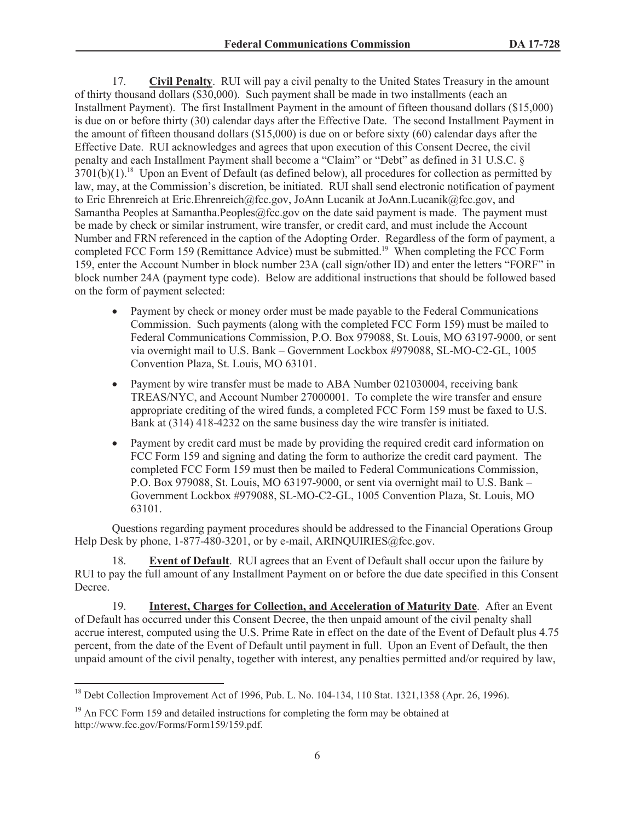17. **Civil Penalty**. RUI will pay a civil penalty to the United States Treasury in the amount of thirty thousand dollars (\$30,000). Such payment shall be made in two installments (each an Installment Payment). The first Installment Payment in the amount of fifteen thousand dollars (\$15,000) is due on or before thirty (30) calendar days after the Effective Date. The second Installment Payment in the amount of fifteen thousand dollars (\$15,000) is due on or before sixty (60) calendar days after the Effective Date. RUI acknowledges and agrees that upon execution of this Consent Decree, the civil penalty and each Installment Payment shall become a "Claim" or "Debt" as defined in 31 U.S.C. § 3701(b)(1).<sup>18</sup> Upon an Event of Default (as defined below), all procedures for collection as permitted by law, may, at the Commission's discretion, be initiated. RUI shall send electronic notification of payment to Eric Ehrenreich at Eric.Ehrenreich@fcc.gov, JoAnn Lucanik at JoAnn.Lucanik@fcc.gov, and Samantha Peoples at Samantha.Peoples@fcc.gov on the date said payment is made. The payment must be made by check or similar instrument, wire transfer, or credit card, and must include the Account Number and FRN referenced in the caption of the Adopting Order. Regardless of the form of payment, a completed FCC Form 159 (Remittance Advice) must be submitted.<sup>19</sup> When completing the FCC Form 159, enter the Account Number in block number 23A (call sign/other ID) and enter the letters "FORF" in block number 24A (payment type code). Below are additional instructions that should be followed based on the form of payment selected:

- · Payment by check or money order must be made payable to the Federal Communications Commission. Such payments (along with the completed FCC Form 159) must be mailed to Federal Communications Commission, P.O. Box 979088, St. Louis, MO 63197-9000, or sent via overnight mail to U.S. Bank – Government Lockbox #979088, SL-MO-C2-GL, 1005 Convention Plaza, St. Louis, MO 63101.
- Payment by wire transfer must be made to ABA Number 021030004, receiving bank TREAS/NYC, and Account Number 27000001. To complete the wire transfer and ensure appropriate crediting of the wired funds, a completed FCC Form 159 must be faxed to U.S. Bank at (314) 418-4232 on the same business day the wire transfer is initiated.
- · Payment by credit card must be made by providing the required credit card information on FCC Form 159 and signing and dating the form to authorize the credit card payment. The completed FCC Form 159 must then be mailed to Federal Communications Commission, P.O. Box 979088, St. Louis, MO 63197-9000, or sent via overnight mail to U.S. Bank – Government Lockbox #979088, SL-MO-C2-GL, 1005 Convention Plaza, St. Louis, MO 63101.

Questions regarding payment procedures should be addressed to the Financial Operations Group Help Desk by phone, 1-877-480-3201, or by e-mail, ARINQUIRIES@fcc.gov.

18. **Event of Default**. RUI agrees that an Event of Default shall occur upon the failure by RUI to pay the full amount of any Installment Payment on or before the due date specified in this Consent Decree.

19. **Interest, Charges for Collection, and Acceleration of Maturity Date**. After an Event of Default has occurred under this Consent Decree, the then unpaid amount of the civil penalty shall accrue interest, computed using the U.S. Prime Rate in effect on the date of the Event of Default plus 4.75 percent, from the date of the Event of Default until payment in full. Upon an Event of Default, the then unpaid amount of the civil penalty, together with interest, any penalties permitted and/or required by law,

<sup>&</sup>lt;sup>18</sup> Debt Collection Improvement Act of 1996, Pub. L. No. 104-134, 110 Stat. 1321,1358 (Apr. 26, 1996).

 $19$  An FCC Form 159 and detailed instructions for completing the form may be obtained at http://www.fcc.gov/Forms/Form159/159.pdf.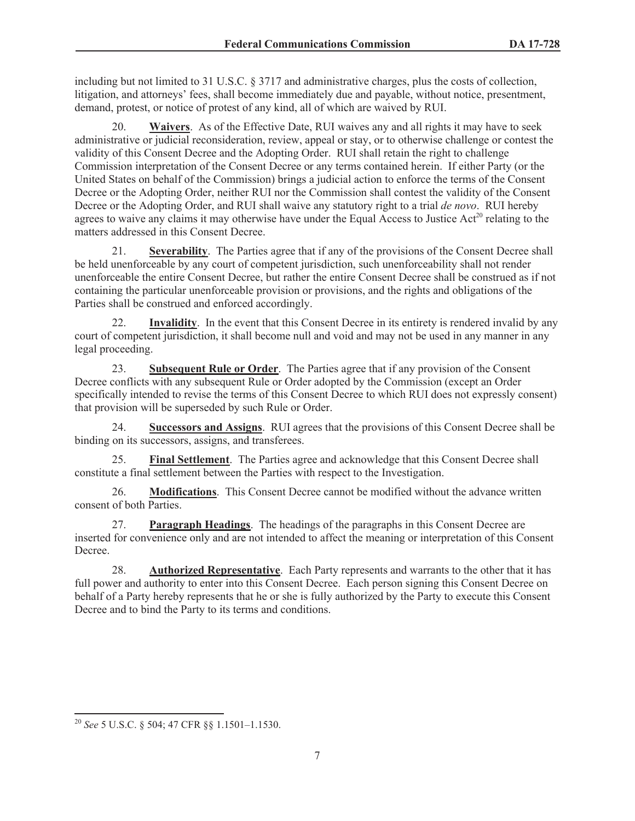including but not limited to 31 U.S.C. § 3717 and administrative charges, plus the costs of collection, litigation, and attorneys' fees, shall become immediately due and payable, without notice, presentment, demand, protest, or notice of protest of any kind, all of which are waived by RUI.

20. **Waivers**. As of the Effective Date, RUI waives any and all rights it may have to seek administrative or judicial reconsideration, review, appeal or stay, or to otherwise challenge or contest the validity of this Consent Decree and the Adopting Order. RUI shall retain the right to challenge Commission interpretation of the Consent Decree or any terms contained herein. If either Party (or the United States on behalf of the Commission) brings a judicial action to enforce the terms of the Consent Decree or the Adopting Order, neither RUI nor the Commission shall contest the validity of the Consent Decree or the Adopting Order, and RUI shall waive any statutory right to a trial *de novo*. RUI hereby agrees to waive any claims it may otherwise have under the Equal Access to Justice Act<sup>20</sup> relating to the matters addressed in this Consent Decree.

21. **Severability**. The Parties agree that if any of the provisions of the Consent Decree shall be held unenforceable by any court of competent jurisdiction, such unenforceability shall not render unenforceable the entire Consent Decree, but rather the entire Consent Decree shall be construed as if not containing the particular unenforceable provision or provisions, and the rights and obligations of the Parties shall be construed and enforced accordingly.

**Invalidity**. In the event that this Consent Decree in its entirety is rendered invalid by any court of competent jurisdiction, it shall become null and void and may not be used in any manner in any legal proceeding.

23. **Subsequent Rule or Order**. The Parties agree that if any provision of the Consent Decree conflicts with any subsequent Rule or Order adopted by the Commission (except an Order specifically intended to revise the terms of this Consent Decree to which RUI does not expressly consent) that provision will be superseded by such Rule or Order.

24. **Successors and Assigns**. RUI agrees that the provisions of this Consent Decree shall be binding on its successors, assigns, and transferees.

25. **Final Settlement**. The Parties agree and acknowledge that this Consent Decree shall constitute a final settlement between the Parties with respect to the Investigation.

26. **Modifications**. This Consent Decree cannot be modified without the advance written consent of both Parties.

27. **Paragraph Headings**. The headings of the paragraphs in this Consent Decree are inserted for convenience only and are not intended to affect the meaning or interpretation of this Consent **Decree** 

28. **Authorized Representative**. Each Party represents and warrants to the other that it has full power and authority to enter into this Consent Decree. Each person signing this Consent Decree on behalf of a Party hereby represents that he or she is fully authorized by the Party to execute this Consent Decree and to bind the Party to its terms and conditions.

<sup>20</sup> *See* 5 U.S.C. § 504; 47 CFR §§ 1.1501–1.1530.